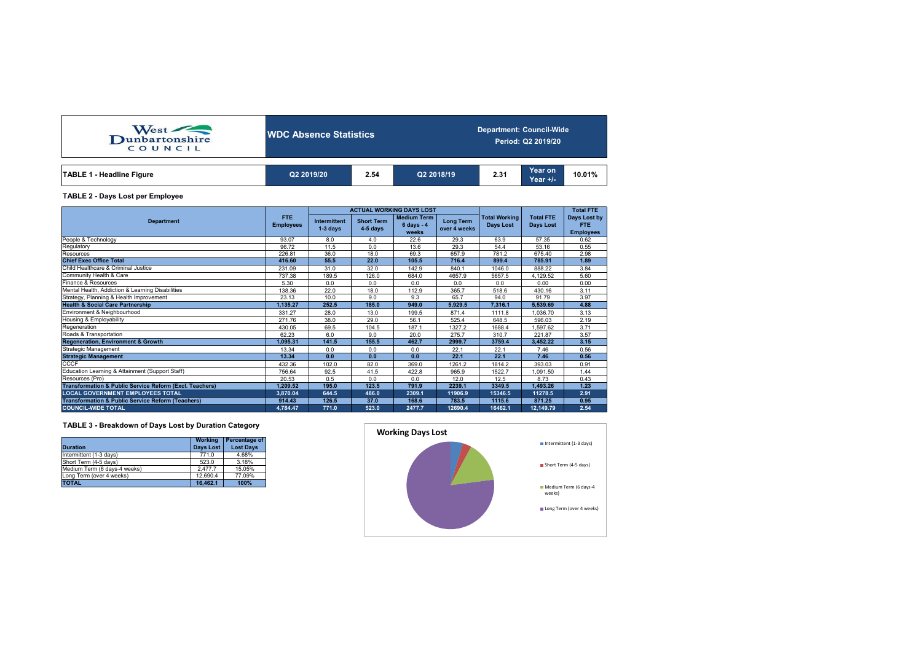| West<br>Dunbartonshire<br>COUNCIL | <b>NDC Absence Statistics</b> |      |            | <b>Department: Council-Wide</b><br>Period: Q2 2019/20 |                       |        |  |  |  |
|-----------------------------------|-------------------------------|------|------------|-------------------------------------------------------|-----------------------|--------|--|--|--|
| <b>TABLE 1 - Headline Figure</b>  | Q2 2019/20                    | 2.54 | Q2 2018/19 | 2.31                                                  | Year on<br>Year $+/-$ | 10.01% |  |  |  |

#### **TABLE 2 - Days Lost per Employee**

|                                                                    |          |                                                                    |       | <b>ACTUAL WORKING DAYS LOST</b>                     |                                  |                                          | <b>Total FTE</b>              |                                                |
|--------------------------------------------------------------------|----------|--------------------------------------------------------------------|-------|-----------------------------------------------------|----------------------------------|------------------------------------------|-------------------------------|------------------------------------------------|
| <b>Department</b>                                                  |          | <b>Intermittent</b><br><b>Short Term</b><br>$1-3$ days<br>4-5 days |       | <b>Medium Term</b><br>$6 \text{ days} - 4$<br>weeks | <b>Long Term</b><br>over 4 weeks | <b>Total Working</b><br><b>Davs Lost</b> | <b>Total FTE</b><br>Days Lost | Days Lost by<br><b>FTE</b><br><b>Employees</b> |
| People & Technology                                                | 93.07    | 8.0                                                                | 4.0   | 22.6                                                | 29.3                             | 63.9                                     | 57.35                         | 0.62                                           |
| Regulatory                                                         | 96.72    | 11.5                                                               | 0.0   | 13.6                                                | 29.3                             | 54.4                                     | 53.16                         | 0.55                                           |
| Resources                                                          | 226.81   | 36.0                                                               | 18.0  | 69.3                                                | 657.9                            | 781.2                                    | 675.40                        | 2.98                                           |
| <b>Chief Exec Office Total</b>                                     | 416.60   | 55.5                                                               | 22.0  | 105.5                                               | 716.4                            | 899.4                                    | 785.91                        | 1.89                                           |
| Child Healthcare & Criminal Justice                                | 231.09   | 31.0                                                               | 32.0  | 142.9                                               | 840.1                            | 1046.0                                   | 888.22                        | 3.84                                           |
| Community Health & Care                                            | 737.38   | 189.5                                                              | 126.0 | 684.0                                               | 4657.9                           | 5657.5                                   | 4,129.52                      | 5.60                                           |
| Finance & Resources                                                | 5.30     | 0.0                                                                | 0.0   | 0.0                                                 | 0.0                              | 0.0                                      | 0.00                          | 0.00                                           |
| Mental Health, Addiction & Learning Disabilities                   | 138.36   | 22.0                                                               | 18.0  | 112.9                                               | 365.7                            | 518.6                                    | 430.16                        | 3.11                                           |
| Strategy, Planning & Health Improvement                            | 23.13    | 10.0                                                               | 9.0   | 9.3                                                 | 65.7                             | 94.0                                     | 91.79                         | 3.97                                           |
| <b>Health &amp; Social Care Partnership</b>                        | 1,135.27 | 252.5                                                              | 185.0 | 949.0                                               | 5.929.5                          | 7.316.1                                  | 5.539.69                      | 4.88                                           |
| Environment & Neighbourhood                                        | 331.27   | 28.0                                                               | 13.0  | 199.5                                               | 871.4                            | 1111.8                                   | 1.036.70                      | 3.13                                           |
| Housing & Employability                                            | 271.76   | 38.0                                                               | 29.0  | 56.1                                                | 525.4                            | 648.5                                    | 596.03                        | 2.19                                           |
| Regeneration                                                       | 430.05   | 69.5                                                               | 104.5 | 187.1                                               | 1327.2                           | 1688.4                                   | 1,597.62                      | 3.71                                           |
| Roads & Transportation                                             | 62.23    | 6.0                                                                | 9.0   | 20.0                                                | 275.7                            | 310.7                                    | 221.87                        | 3.57                                           |
| <b>Regeneration, Environment &amp; Growth</b>                      | 1,095.31 | 141.5                                                              | 155.5 | 462.7                                               | 2999.7                           | 3759.4                                   | 3,452.22                      | 3.15                                           |
| Strategic Management                                               | 13.34    | 0.0                                                                | 0.0   | 0.0                                                 | 22.1                             | 22.1                                     | 7.46                          | 0.56                                           |
| <b>Strategic Management</b>                                        | 13.34    | 0.0                                                                | 0.0   | 0.0                                                 | 22.1                             | 22.1                                     | 7.46                          | 0.56                                           |
| <b>CCCF</b>                                                        | 432.36   | 102.0                                                              | 82.0  | 369.0                                               | 1261.2                           | 1814.2                                   | 393.03                        | 0.91                                           |
| Education Learning & Attainment (Support Staff)                    | 756.64   | 92.5                                                               | 41.5  | 422.8                                               | 965.9                            | 1522.7                                   | 1.091.50                      | 1.44                                           |
| Resources (Pro)                                                    | 20.53    | 0.5                                                                | 0.0   | 0.0                                                 | 12.0                             | 12.5                                     | 8.73                          | 0.43                                           |
| <b>Transformation &amp; Public Service Reform (Excl. Teachers)</b> | 1,209.52 | 195.0                                                              | 123.5 | 791.9                                               | 2239.1                           | 3349.5                                   | 1,493.26                      | 1.23                                           |
| <b>LOCAL GOVERNMENT EMPLOYEES TOTAL</b>                            | 3,870.04 | 644.5                                                              | 486.0 | 2309.1                                              | 11906.9                          | 15346.5                                  | 11278.5                       | 2.91                                           |
| <b>Transformation &amp; Public Service Reform (Teachers)</b>       | 914.43   | 126.5                                                              | 37.0  | 168.6                                               | 783.5                            | 1115.6                                   | 871.25                        | 0.95                                           |
| <b>COUNCIL-WIDE TOTAL</b>                                          | 4,784.47 | 771.0                                                              | 523.0 | 2477.7                                              | 12690.4                          | 16462.1                                  | 12,149.79                     | 2.54                                           |

## **TABLE 3 - Breakdown of Days Lost by Duration Category**

| <b>Duration</b>              | <b>Working</b><br><b>Days Lost</b> | Percentage of<br><b>Lost Days</b> |
|------------------------------|------------------------------------|-----------------------------------|
| Intermittent (1-3 days)      | 771.0                              | 4.68%                             |
| Short Term (4-5 days)        | 523.0                              | 3.18%                             |
| Medium Term (6 days-4 weeks) | 2.477.7                            | 15.05%                            |
| Long Term (over 4 weeks)     | 12.690.4                           | 77.09%                            |
| <b>TOTAL</b>                 | 16.462.1                           | 100%                              |